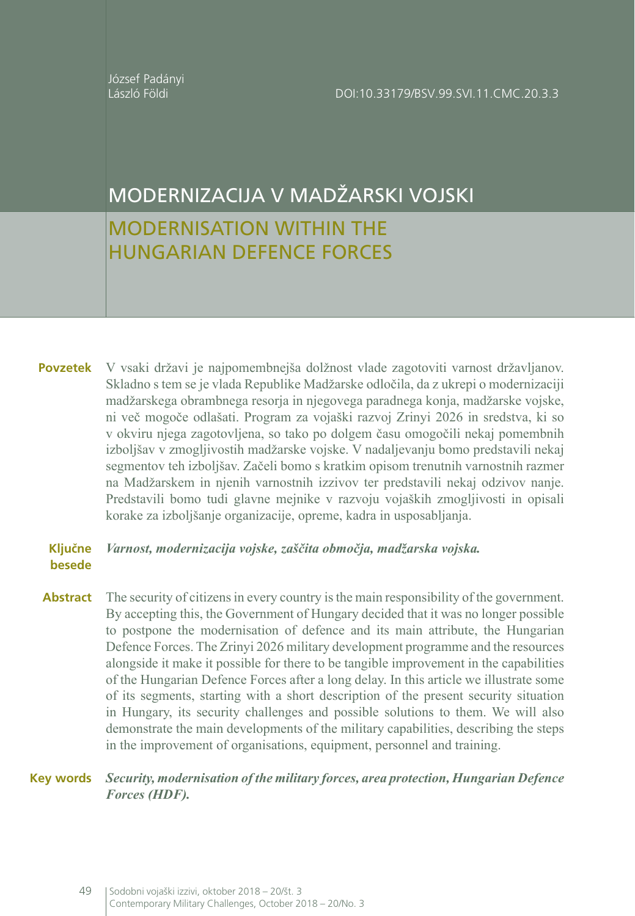József Padányi László Földi

# MODERNIZACIJA V MADŽARSKI VOJSKI

## MODERNISATION WITHIN THE HUNGARIAN DEFENCE FORCES

V vsaki državi je najpomembnejša dolžnost vlade zagotoviti varnost državljanov. Skladno s tem se je vlada Republike Madžarske odločila, da z ukrepi o modernizaciji madžarskega obrambnega resorja in njegovega paradnega konja, madžarske vojske, ni več mogoče odlašati. Program za vojaški razvoj Zrinyi 2026 in sredstva, ki so v okviru njega zagotovljena, so tako po dolgem času omogočili nekaj pomembnih izboljšav v zmogljivostih madžarske vojske. V nadaljevanju bomo predstavili nekaj segmentov teh izboljšav. Začeli bomo s kratkim opisom trenutnih varnostnih razmer na Madžarskem in njenih varnostnih izzivov ter predstavili nekaj odzivov nanje. Predstavili bomo tudi glavne mejnike v razvoju vojaških zmogljivosti in opisali korake za izboljšanje organizacije, opreme, kadra in usposabljanja. **Povzetek**

#### *Varnost, modernizacija vojske, zaščita območja, madžarska vojska.* **Ključne besede**

The security of citizens in every country is the main responsibility of the government. By accepting this, the Government of Hungary decided that it was no longer possible to postpone the modernisation of defence and its main attribute, the Hungarian Defence Forces. The Zrinyi 2026 military development programme and the resources alongside it make it possible for there to be tangible improvement in the capabilities of the Hungarian Defence Forces after a long delay. In this article we illustrate some of its segments, starting with a short description of the present security situation in Hungary, its security challenges and possible solutions to them. We will also demonstrate the main developments of the military capabilities, describing the steps in the improvement of organisations, equipment, personnel and training. **Abstract**

#### *Security, modernisation of the military forces, area protection, Hungarian Defence Forces (HDF).* **Key words**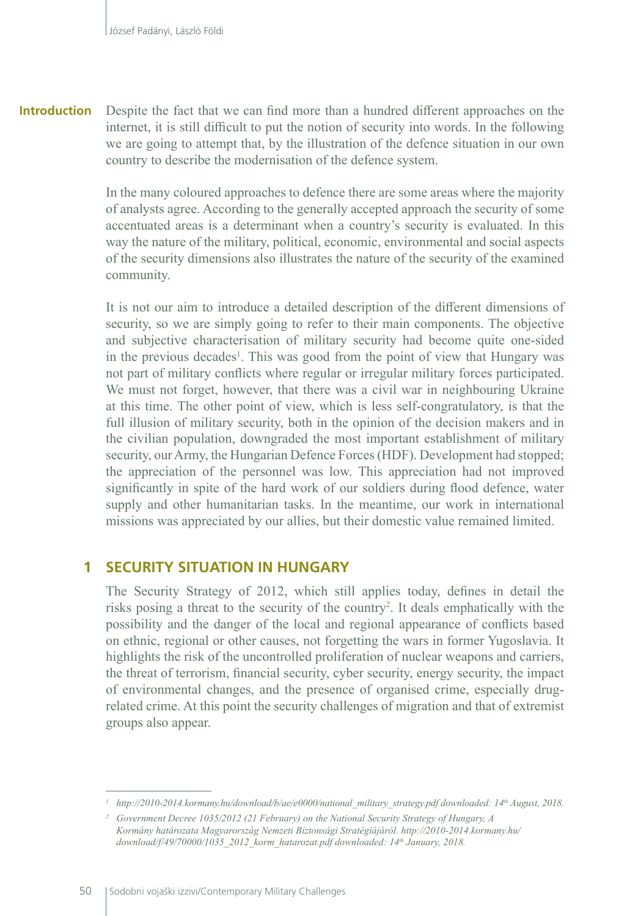**Introduction** Despite the fact that we can find more than a hundred different approaches on the internet, it is still difficult to put the notion of security into words. In the following we are going to attempt that, by the illustration of the defence situation in our own country to describe the modernisation of the defence system.

> In the many coloured approaches to defence there are some areas where the majority of analysts agree. According to the generally accepted approach the security of some accentuated areas is a determinant when a country's security is evaluated. In this way the nature of the military, political, economic, environmental and social aspects of the security dimensions also illustrates the nature of the security of the examined community.

> It is not our aim to introduce a detailed description of the different dimensions of security, so we are simply going to refer to their main components. The objective and subjective characterisation of military security had become quite one-sided in the previous decades<sup>1</sup>. This was good from the point of view that Hungary was not part of military conflicts where regular or irregular military forces participated. We must not forget, however, that there was a civil war in neighbouring Ukraine at this time. The other point of view, which is less self-congratulatory, is that the full illusion of military security, both in the opinion of the decision makers and in the civilian population, downgraded the most important establishment of military security, our Army, the Hungarian Defence Forces (HDF). Development had stopped; the appreciation of the personnel was low. This appreciation had not improved significantly in spite of the hard work of our soldiers during flood defence, water supply and other humanitarian tasks. In the meantime, our work in international missions was appreciated by our allies, but their domestic value remained limited.

### **1 SECURITY SITUATION IN HUNGARY**

The Security Strategy of 2012, which still applies today, defines in detail the risks posing a threat to the security of the country<sup>2</sup>. It deals emphatically with the possibility and the danger of the local and regional appearance of conflicts based on ethnic, regional or other causes, not forgetting the wars in former Yugoslavia. It highlights the risk of the uncontrolled proliferation of nuclear weapons and carriers, the threat of terrorism, financial security, cyber security, energy security, the impact of environmental changes, and the presence of organised crime, especially drugrelated crime. At this point the security challenges of migration and that of extremist groups also appear.

*<sup>1</sup> http://2010-2014.kormany.hu/download/b/ae/e0000/national\_military\_strategy.pdf downloaded: 14th August, 2018.*

*<sup>2</sup> Government Decree 1035/2012 (21 February) on the National Security Strategy of Hungary, A Kormány határozata Magyarország Nemzeti Biztonsági Stratégiájáról. [http://2010-2014.kormany.hu/](http://2010-2014.kormany.hu/download/f/49/70000/1035_2012_korm_hatarozat.pdf) [download/f/49/70000/1035\\_2012\\_korm\\_hatarozat.pdf](http://2010-2014.kormany.hu/download/f/49/70000/1035_2012_korm_hatarozat.pdf) downloaded: 14th January, 2018.*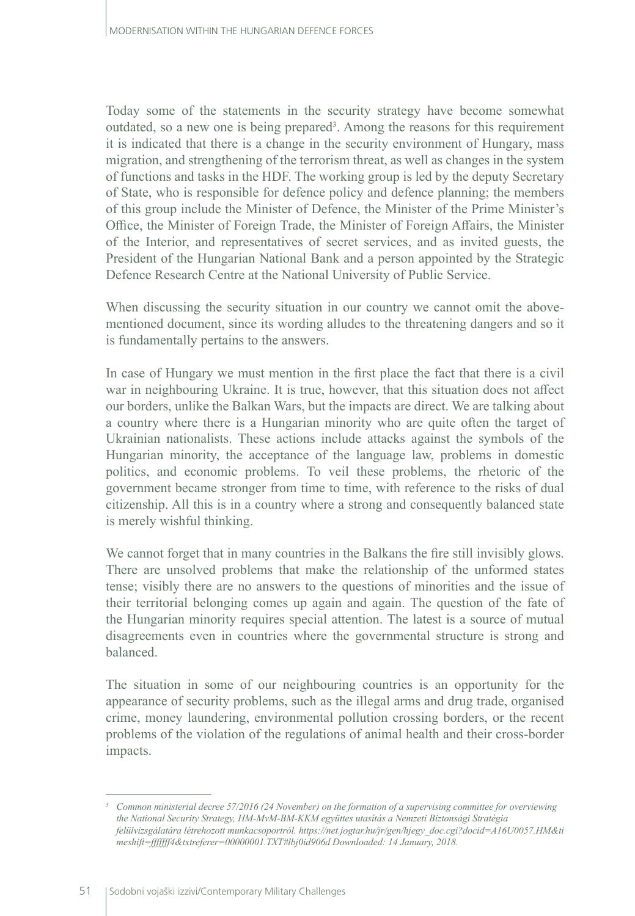Today some of the statements in the security strategy have become somewhat outdated, so a new one is being prepared<sup>3</sup>. Among the reasons for this requirement it is indicated that there is a change in the security environment of Hungary, mass migration, and strengthening of the terrorism threat, as well as changes in the system of functions and tasks in the HDF. The working group is led by the deputy Secretary of State, who is responsible for defence policy and defence planning; the members of this group include the Minister of Defence, the Minister of the Prime Minister's Office, the Minister of Foreign Trade, the Minister of Foreign Affairs, the Minister of the Interior, and representatives of secret services, and as invited guests, the President of the Hungarian National Bank and a person appointed by the Strategic Defence Research Centre at the National University of Public Service.

When discussing the security situation in our country we cannot omit the abovementioned document, since its wording alludes to the threatening dangers and so it is fundamentally pertains to the answers.

In case of Hungary we must mention in the first place the fact that there is a civil war in neighbouring Ukraine. It is true, however, that this situation does not affect our borders, unlike the Balkan Wars, but the impacts are direct. We are talking about a country where there is a Hungarian minority who are quite often the target of Ukrainian nationalists. These actions include attacks against the symbols of the Hungarian minority, the acceptance of the language law, problems in domestic politics, and economic problems. To veil these problems, the rhetoric of the government became stronger from time to time, with reference to the risks of dual citizenship. All this is in a country where a strong and consequently balanced state is merely wishful thinking.

We cannot forget that in many countries in the Balkans the fire still invisibly glows. There are unsolved problems that make the relationship of the unformed states tense; visibly there are no answers to the questions of minorities and the issue of their territorial belonging comes up again and again. The question of the fate of the Hungarian minority requires special attention. The latest is a source of mutual disagreements even in countries where the governmental structure is strong and balanced.

The situation in some of our neighbouring countries is an opportunity for the appearance of security problems, such as the illegal arms and drug trade, organised crime, money laundering, environmental pollution crossing borders, or the recent problems of the violation of the regulations of animal health and their cross-border impacts.

*<sup>3</sup> Common ministerial decree 57/2016 (24 November) on the formation of a supervising committee for overviewing the National Security Strategy, HM-MvM-BM-KKM együttes utasítás a Nemzeti Biztonsági Stratégia felülvizsgálatára létrehozott munkacsoportról. https://net.jogtar.hu/jr/gen/hjegy\_doc.cgi?docid=A16U0057.HM&ti meshift=fffffff4&txtreferer=00000001.TXT#lbj0id906d Downloaded: 14 January, 2018.*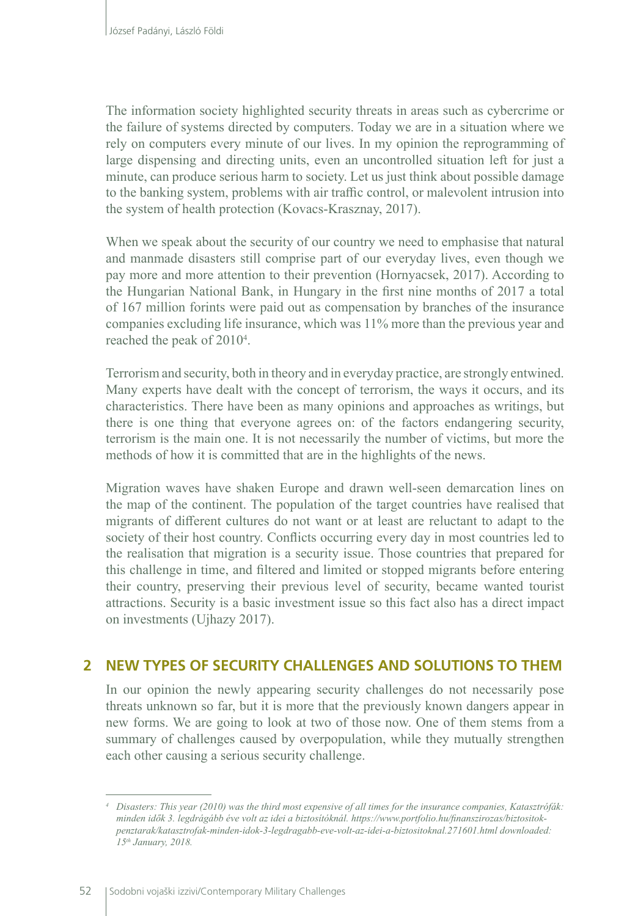The information society highlighted security threats in areas such as cybercrime or the failure of systems directed by computers. Today we are in a situation where we rely on computers every minute of our lives. In my opinion the reprogramming of large dispensing and directing units, even an uncontrolled situation left for just a minute, can produce serious harm to society. Let us just think about possible damage to the banking system, problems with air traffic control, or malevolent intrusion into the system of health protection (Kovacs-Krasznay, 2017).

When we speak about the security of our country we need to emphasise that natural and manmade disasters still comprise part of our everyday lives, even though we pay more and more attention to their prevention (Hornyacsek, 2017). According to the Hungarian National Bank, in Hungary in the first nine months of 2017 a total of 167 million forints were paid out as compensation by branches of the insurance companies excluding life insurance, which was 11% more than the previous year and reached the peak of  $2010^4$ .

Terrorism and security, both in theory and in everyday practice, are strongly entwined. Many experts have dealt with the concept of terrorism, the ways it occurs, and its characteristics. There have been as many opinions and approaches as writings, but there is one thing that everyone agrees on: of the factors endangering security, terrorism is the main one. It is not necessarily the number of victims, but more the methods of how it is committed that are in the highlights of the news.

Migration waves have shaken Europe and drawn well-seen demarcation lines on the map of the continent. The population of the target countries have realised that migrants of different cultures do not want or at least are reluctant to adapt to the society of their host country. Conflicts occurring every day in most countries led to the realisation that migration is a security issue. Those countries that prepared for this challenge in time, and filtered and limited or stopped migrants before entering their country, preserving their previous level of security, became wanted tourist attractions. Security is a basic investment issue so this fact also has a direct impact on investments (Ujhazy 2017).

### **2 NEW TYPES OF SECURITY CHALLENGES AND SOLUTIONS TO THEM**

In our opinion the newly appearing security challenges do not necessarily pose threats unknown so far, but it is more that the previously known dangers appear in new forms. We are going to look at two of those now. One of them stems from a summary of challenges caused by overpopulation, while they mutually strengthen each other causing a serious security challenge.

*<sup>4</sup> Disasters: This year (2010) was the third most expensive of all times for the insurance companies, Katasztrófák: minden idők 3. legdrágább éve volt az idei a biztosítóknál. https://www.portfolio.hu/finanszirozas/biztositokpenztarak/katasztrofak-minden-idok-3-legdragabb-eve-volt-az-idei-a-biztositoknal.271601.html downloaded: 15th January, 2018.*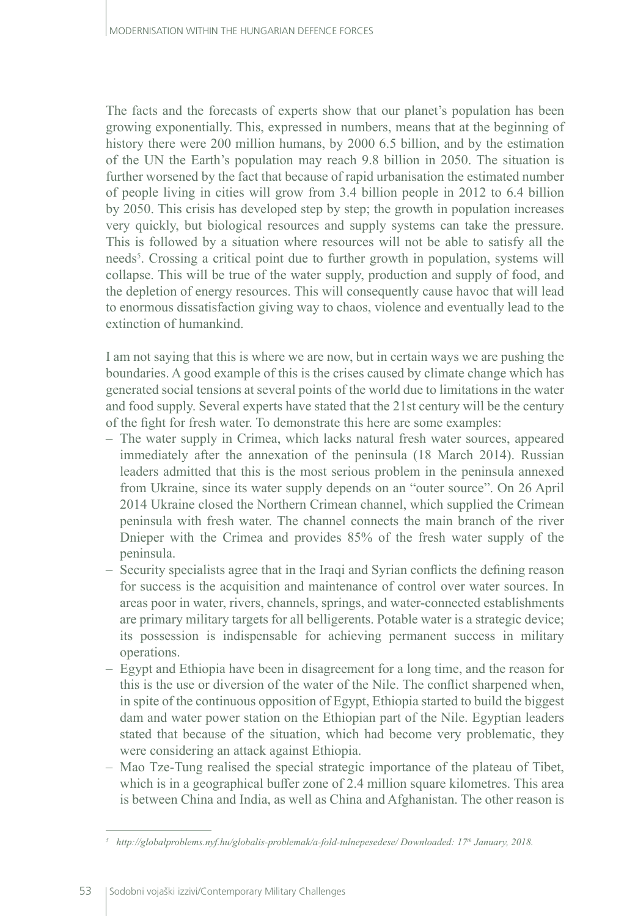The facts and the forecasts of experts show that our planet's population has been growing exponentially. This, expressed in numbers, means that at the beginning of history there were 200 million humans, by 2000 6.5 billion, and by the estimation of the UN the Earth's population may reach 9.8 billion in 2050. The situation is further worsened by the fact that because of rapid urbanisation the estimated number of people living in cities will grow from 3.4 billion people in 2012 to 6.4 billion by 2050. This crisis has developed step by step; the growth in population increases very quickly, but biological resources and supply systems can take the pressure. This is followed by a situation where resources will not be able to satisfy all the needs<sup>5</sup>. Crossing a critical point due to further growth in population, systems will collapse. This will be true of the water supply, production and supply of food, and the depletion of energy resources. This will consequently cause havoc that will lead to enormous dissatisfaction giving way to chaos, violence and eventually lead to the extinction of humankind.

I am not saying that this is where we are now, but in certain ways we are pushing the boundaries. A good example of this is the crises caused by climate change which has generated social tensions at several points of the world due to limitations in the water and food supply. Several experts have stated that the 21st century will be the century of the fight for fresh water. To demonstrate this here are some examples:

- The water supply in Crimea, which lacks natural fresh water sources, appeared immediately after the annexation of the peninsula (18 March 2014). Russian leaders admitted that this is the most serious problem in the peninsula annexed from Ukraine, since its water supply depends on an "outer source". On 26 April 2014 Ukraine closed the Northern Crimean channel, which supplied the Crimean peninsula with fresh water. The channel connects the main branch of the river Dnieper with the Crimea and provides 85% of the fresh water supply of the peninsula.
- Security specialists agree that in the Iraqi and Syrian conflicts the defining reason for success is the acquisition and maintenance of control over water sources. In areas poor in water, rivers, channels, springs, and water-connected establishments are primary military targets for all belligerents. Potable water is a strategic device; its possession is indispensable for achieving permanent success in military operations.
- Egypt and Ethiopia have been in disagreement for a long time, and the reason for this is the use or diversion of the water of the Nile. The conflict sharpened when, in spite of the continuous opposition of Egypt, Ethiopia started to build the biggest dam and water power station on the Ethiopian part of the Nile. Egyptian leaders stated that because of the situation, which had become very problematic, they were considering an attack against Ethiopia.
- Mao Tze-Tung realised the special strategic importance of the plateau of Tibet, which is in a geographical buffer zone of 2.4 million square kilometres. This area is between China and India, as well as China and Afghanistan. The other reason is

*<sup>5</sup> http://globalproblems.nyf.hu/globalis-problemak/a-fold-tulnepesedese/ Downloaded: 17th January, 2018.*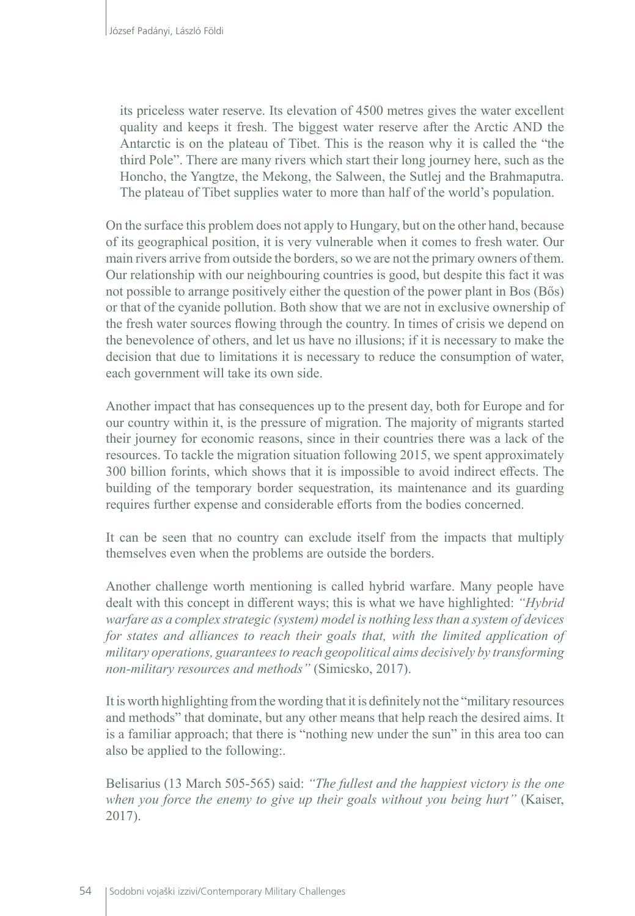its priceless water reserve. Its elevation of 4500 metres gives the water excellent quality and keeps it fresh. The biggest water reserve after the Arctic AND the Antarctic is on the plateau of Tibet. This is the reason why it is called the "the third Pole". There are many rivers which start their long journey here, such as the Honcho, the Yangtze, the Mekong, the Salween, the Sutlej and the Brahmaputra. The plateau of Tibet supplies water to more than half of the world's population.

On the surface this problem does not apply to Hungary, but on the other hand, because of its geographical position, it is very vulnerable when it comes to fresh water. Our main rivers arrive from outside the borders, so we are not the primary owners of them. Our relationship with our neighbouring countries is good, but despite this fact it was not possible to arrange positively either the question of the power plant in Bos (Bős) or that of the cyanide pollution. Both show that we are not in exclusive ownership of the fresh water sources flowing through the country. In times of crisis we depend on the benevolence of others, and let us have no illusions; if it is necessary to make the decision that due to limitations it is necessary to reduce the consumption of water, each government will take its own side.

Another impact that has consequences up to the present day, both for Europe and for our country within it, is the pressure of migration. The majority of migrants started their journey for economic reasons, since in their countries there was a lack of the resources. To tackle the migration situation following 2015, we spent approximately 300 billion forints, which shows that it is impossible to avoid indirect effects. The building of the temporary border sequestration, its maintenance and its guarding requires further expense and considerable efforts from the bodies concerned.

It can be seen that no country can exclude itself from the impacts that multiply themselves even when the problems are outside the borders.

Another challenge worth mentioning is called hybrid warfare. Many people have dealt with this concept in different ways; this is what we have highlighted: *"Hybrid warfare as a complex strategic (system) model is nothing less than a system of devices for states and alliances to reach their goals that, with the limited application of military operations, guarantees to reach geopolitical aims decisively by transforming non-military resources and methods"* (Simicsko, 2017).

It is worth highlighting from the wording that it is definitely not the "military resources and methods" that dominate, but any other means that help reach the desired aims. It is a familiar approach; that there is "nothing new under the sun" in this area too can also be applied to the following:.

Belisarius (13 March 505-565) said: *"The fullest and the happiest victory is the one*  when you force the enemy to give up their goals without you being hurt" (Kaiser, 2017).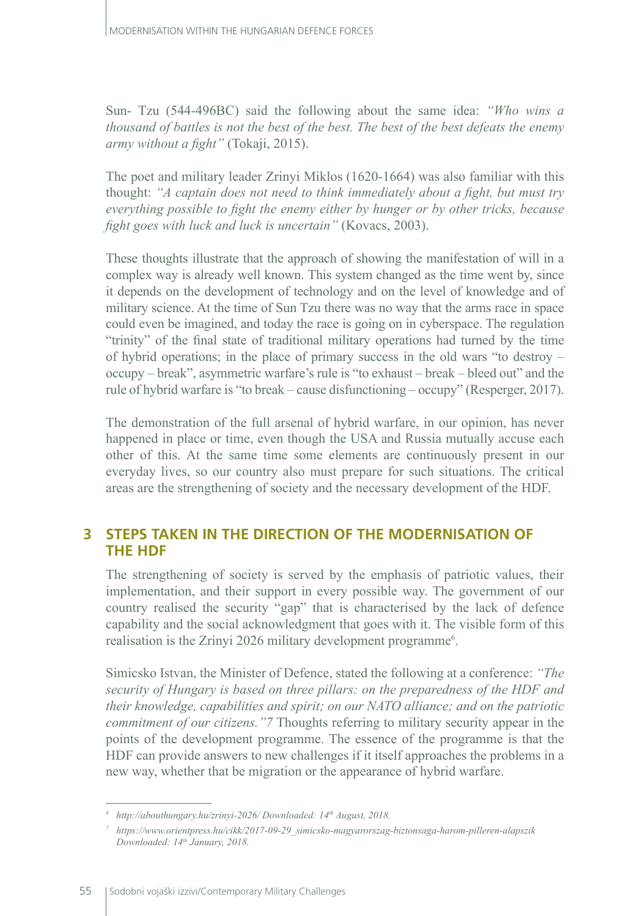Sun- Tzu (544-496BC) said the following about the same idea: *"Who wins a thousand of battles is not the best of the best. The best of the best defeats the enemy army without a fight"* (Tokaji, 2015).

The poet and military leader Zrinyi Miklos (1620-1664) was also familiar with this thought: *"A captain does not need to think immediately about a fight, but must try everything possible to fight the enemy either by hunger or by other tricks, because fight goes with luck and luck is uncertain"* (Kovacs, 2003).

These thoughts illustrate that the approach of showing the manifestation of will in a complex way is already well known. This system changed as the time went by, since it depends on the development of technology and on the level of knowledge and of military science. At the time of Sun Tzu there was no way that the arms race in space could even be imagined, and today the race is going on in cyberspace. The regulation "trinity" of the final state of traditional military operations had turned by the time of hybrid operations; in the place of primary success in the old wars "to destroy – occupy – break", asymmetric warfare's rule is "to exhaust – break – bleed out" and the rule of hybrid warfare is "to break – cause disfunctioning – occupy" (Resperger, 2017).

The demonstration of the full arsenal of hybrid warfare, in our opinion, has never happened in place or time, even though the USA and Russia mutually accuse each other of this. At the same time some elements are continuously present in our everyday lives, so our country also must prepare for such situations. The critical areas are the strengthening of society and the necessary development of the HDF.

## **3 STEPS TAKEN IN THE DIRECTION OF THE MODERNISATION OF THE HDF**

The strengthening of society is served by the emphasis of patriotic values, their implementation, and their support in every possible way. The government of our country realised the security "gap" that is characterised by the lack of defence capability and the social acknowledgment that goes with it. The visible form of this realisation is the Zrinyi 2026 military development programme<sup>6</sup>.

Simicsko Istvan, the Minister of Defence, stated the following at a conference: *"The security of Hungary is based on three pillars: on the preparedness of the HDF and their knowledge, capabilities and spirit; on our NATO alliance; and on the patriotic commitment of our citizens."7* Thoughts referring to military security appear in the points of the development programme. The essence of the programme is that the HDF can provide answers to new challenges if it itself approaches the problems in a new way, whether that be migration or the appearance of hybrid warfare.

*<sup>6</sup> <http://abouthungary.hu/zrinyi-2026/>Downloaded: 14th August, 2018.*

*<sup>7</sup> [https://www.orientpress.hu/cikk/2017-09-29\\_simicsko-magyarorszag-biztonsaga-harom-pilleren-alapszik](https://www.orientpress.hu/cikk/2017-09-29_simicsko-magyarorszag-biztonsaga-harom-pilleren-alapszik) Downloaded: 14th January, 2018.*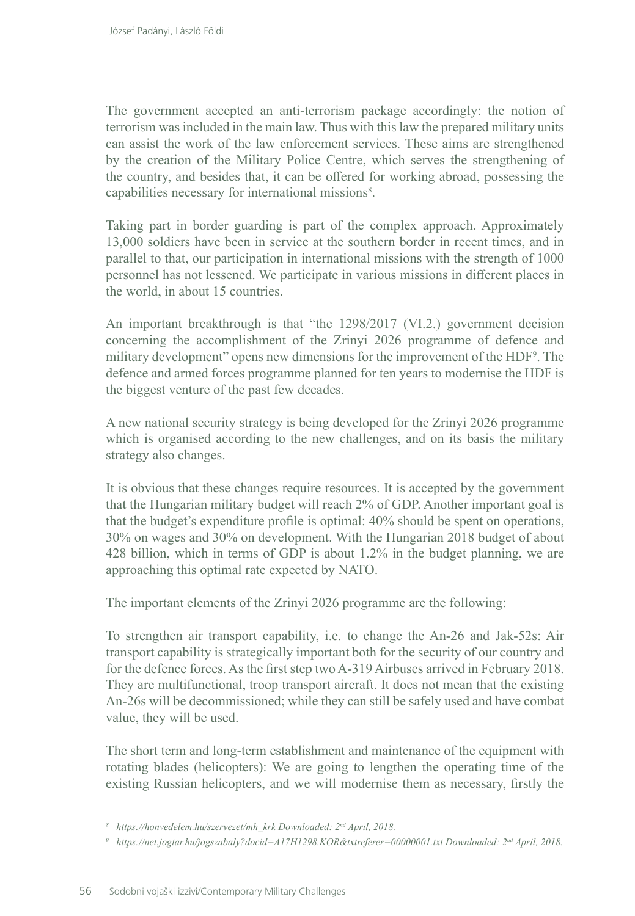The government accepted an anti-terrorism package accordingly: the notion of terrorism was included in the main law. Thus with this law the prepared military units can assist the work of the law enforcement services. These aims are strengthened by the creation of the Military Police Centre, which serves the strengthening of the country, and besides that, it can be offered for working abroad, possessing the capabilities necessary for international missions<sup>8</sup>.

Taking part in border guarding is part of the complex approach. Approximately 13,000 soldiers have been in service at the southern border in recent times, and in parallel to that, our participation in international missions with the strength of 1000 personnel has not lessened. We participate in various missions in different places in the world, in about 15 countries.

An important breakthrough is that "the 1298/2017 (VI.2.) government decision concerning the accomplishment of the Zrinyi 2026 programme of defence and military development" opens new dimensions for the improvement of the HDF9 . The defence and armed forces programme planned for ten years to modernise the HDF is the biggest venture of the past few decades.

A new national security strategy is being developed for the Zrinyi 2026 programme which is organised according to the new challenges, and on its basis the military strategy also changes.

It is obvious that these changes require resources. It is accepted by the government that the Hungarian military budget will reach 2% of GDP. Another important goal is that the budget's expenditure profile is optimal: 40% should be spent on operations, 30% on wages and 30% on development. With the Hungarian 2018 budget of about 428 billion, which in terms of GDP is about 1.2% in the budget planning, we are approaching this optimal rate expected by NATO.

The important elements of the Zrinyi 2026 programme are the following:

To strengthen air transport capability, i.e. to change the An-26 and Jak-52s: Air transport capability is strategically important both for the security of our country and for the defence forces. As the first step two A-319 Airbuses arrived in February 2018. They are multifunctional, troop transport aircraft. It does not mean that the existing An-26s will be decommissioned; while they can still be safely used and have combat value, they will be used.

The short term and long-term establishment and maintenance of the equipment with rotating blades (helicopters): We are going to lengthen the operating time of the existing Russian helicopters, and we will modernise them as necessary, firstly the

*<sup>8</sup> [https://honvedelem.hu/szervezet/mh\\_krk](https://honvedelem.hu/szervezet/mh_krk) Downloaded: 2nd April, 2018.*

*<sup>9</sup> <https://net.jogtar.hu/jogszabaly?docid=A17H1298.KOR&txtreferer=00000001.txt> Downloaded: 2nd April, 2018.*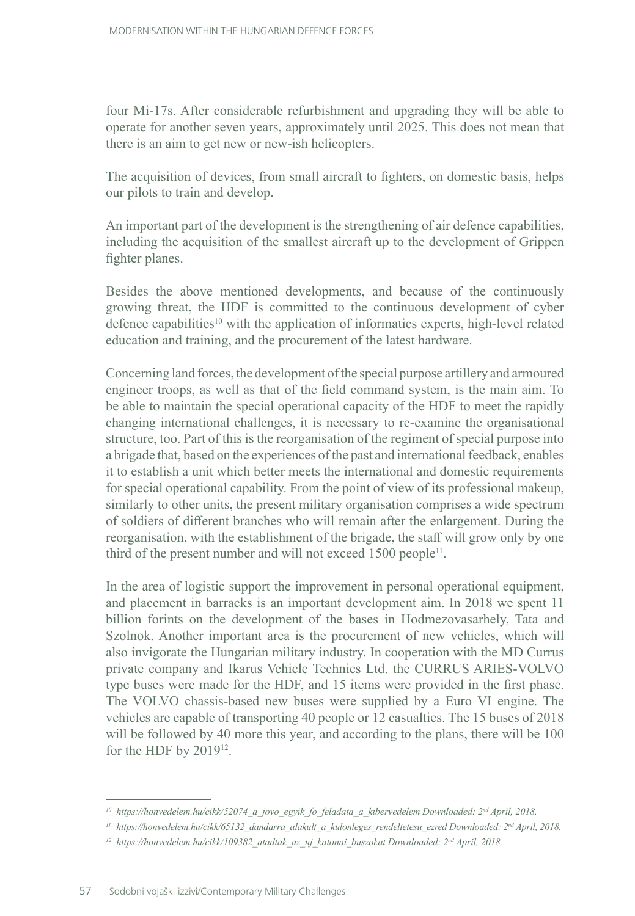four Mi-17s. After considerable refurbishment and upgrading they will be able to operate for another seven years, approximately until 2025. This does not mean that there is an aim to get new or new-ish helicopters.

The acquisition of devices, from small aircraft to fighters, on domestic basis, helps our pilots to train and develop.

An important part of the development is the strengthening of air defence capabilities, including the acquisition of the smallest aircraft up to the development of Grippen fighter planes.

Besides the above mentioned developments, and because of the continuously growing threat, the HDF is committed to the continuous development of cyber defence capabilities<sup>10</sup> with the application of informatics experts, high-level related education and training, and the procurement of the latest hardware.

Concerning land forces, the development of the special purpose artillery and armoured engineer troops, as well as that of the field command system, is the main aim. To be able to maintain the special operational capacity of the HDF to meet the rapidly changing international challenges, it is necessary to re-examine the organisational structure, too. Part of this is the reorganisation of the regiment of special purpose into a brigade that, based on the experiences of the past and international feedback, enables it to establish a unit which better meets the international and domestic requirements for special operational capability. From the point of view of its professional makeup, similarly to other units, the present military organisation comprises a wide spectrum of soldiers of different branches who will remain after the enlargement. During the reorganisation, with the establishment of the brigade, the staff will grow only by one third of the present number and will not exceed  $1500$  people<sup>11</sup>.

In the area of logistic support the improvement in personal operational equipment, and placement in barracks is an important development aim. In 2018 we spent 11 billion forints on the development of the bases in Hodmezovasarhely, Tata and Szolnok. Another important area is the procurement of new vehicles, which will also invigorate the Hungarian military industry. In cooperation with the MD Currus private company and Ikarus Vehicle Technics Ltd. the CURRUS ARIES-VOLVO type buses were made for the HDF, and 15 items were provided in the first phase. The VOLVO chassis-based new buses were supplied by a Euro VI engine. The vehicles are capable of transporting 40 people or 12 casualties. The 15 buses of 2018 will be followed by 40 more this year, and according to the plans, there will be 100 for the HDF by 201912.

*<sup>10</sup> [https://honvedelem.hu/cikk/52074\\_a\\_jovo\\_egyik\\_fo\\_feladata\\_a\\_kibervedelem](https://honvedelem.hu/cikk/52074_a_jovo_egyik_fo_feladata_a_kibervedelem) Downloaded: 2nd April, 2018.*

*<sup>11</sup> [https://honvedelem.hu/cikk/65132\\_dandarra\\_alakult\\_a\\_kulonleges\\_rendeltetesu\\_ezred](https://honvedelem.hu/cikk/65132_dandarra_alakult_a_kulonleges_rendeltetesu_ezred) Downloaded: 2nd April, 2018.*

*<sup>12</sup> [https://honvedelem.hu/cikk/109382\\_atadtak\\_az\\_uj\\_katonai\\_buszokat](https://honvedelem.hu/cikk/109382_atadtak_az_uj_katonai_buszokat) Downloaded: 2nd April, 2018.*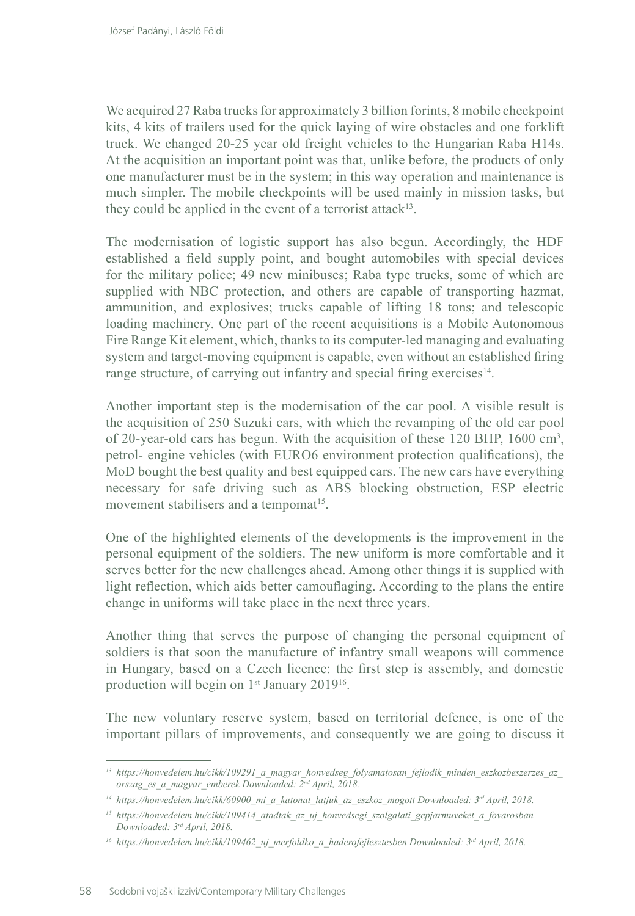We acquired 27 Raba trucks for approximately 3 billion forints, 8 mobile checkpoint kits, 4 kits of trailers used for the quick laying of wire obstacles and one forklift truck. We changed 20-25 year old freight vehicles to the Hungarian Raba H14s. At the acquisition an important point was that, unlike before, the products of only one manufacturer must be in the system; in this way operation and maintenance is much simpler. The mobile checkpoints will be used mainly in mission tasks, but they could be applied in the event of a terrorist attack<sup>13</sup>.

The modernisation of logistic support has also begun. Accordingly, the HDF established a field supply point, and bought automobiles with special devices for the military police; 49 new minibuses; Raba type trucks, some of which are supplied with NBC protection, and others are capable of transporting hazmat, ammunition, and explosives; trucks capable of lifting 18 tons; and telescopic loading machinery. One part of the recent acquisitions is a Mobile Autonomous Fire Range Kit element, which, thanks to its computer-led managing and evaluating system and target-moving equipment is capable, even without an established firing range structure, of carrying out infantry and special firing exercises<sup>14</sup>.

Another important step is the modernisation of the car pool. A visible result is the acquisition of 250 Suzuki cars, with which the revamping of the old car pool of 20-year-old cars has begun. With the acquisition of these 120 BHP, 1600 cm<sup>3</sup>, petrol- engine vehicles (with EURO6 environment protection qualifications), the MoD bought the best quality and best equipped cars. The new cars have everything necessary for safe driving such as ABS blocking obstruction, ESP electric movement stabilisers and a tempomat<sup>15</sup>.

One of the highlighted elements of the developments is the improvement in the personal equipment of the soldiers. The new uniform is more comfortable and it serves better for the new challenges ahead. Among other things it is supplied with light reflection, which aids better camouflaging. According to the plans the entire change in uniforms will take place in the next three years.

Another thing that serves the purpose of changing the personal equipment of soldiers is that soon the manufacture of infantry small weapons will commence in Hungary, based on a Czech licence: the first step is assembly, and domestic production will begin on 1<sup>st</sup> January 2019<sup>16</sup>.

The new voluntary reserve system, based on territorial defence, is one of the important pillars of improvements, and consequently we are going to discuss it

*<sup>13</sup> [https://honvedelem.hu/cikk/109291\\_a\\_magyar\\_honvedseg\\_folyamatosan\\_fejlodik\\_minden\\_eszkozbeszerzes\\_az\\_](https://honvedelem.hu/cikk/109291_a_magyar_honvedseg_folyamatosan_fejlodik_minden_eszkozbeszerzes_az_orszag_es_a_magyar_emberek) [orszag\\_es\\_a\\_magyar\\_emberek](https://honvedelem.hu/cikk/109291_a_magyar_honvedseg_folyamatosan_fejlodik_minden_eszkozbeszerzes_az_orszag_es_a_magyar_emberek) Downloaded: 2nd April, 2018.*

*<sup>14</sup> [https://honvedelem.hu/cikk/60900\\_mi\\_a\\_katonat\\_latjuk\\_az\\_eszkoz\\_mogott](https://honvedelem.hu/cikk/60900_mi_a_katonat_latjuk_az_eszkoz_mogott) Downloaded: 3rd April, 2018.*

*<sup>15</sup> [https://honvedelem.hu/cikk/109414\\_atadtak\\_az\\_uj\\_honvedsegi\\_szolgalati\\_gepjarmuveket\\_a\\_fovarosban](https://honvedelem.hu/cikk/109414_atadtak_az_uj_honvedsegi_szolgalati_gepjarmuveket_a_fovarosban) Downloaded: 3rd April, 2018.*

*<sup>16</sup> [https://honvedelem.hu/cikk/109462\\_uj\\_merfoldko\\_a\\_haderofejlesztesben](https://honvedelem.hu/cikk/109462_uj_merfoldko_a_haderofejlesztesben) Downloaded: 3rd April, 2018.*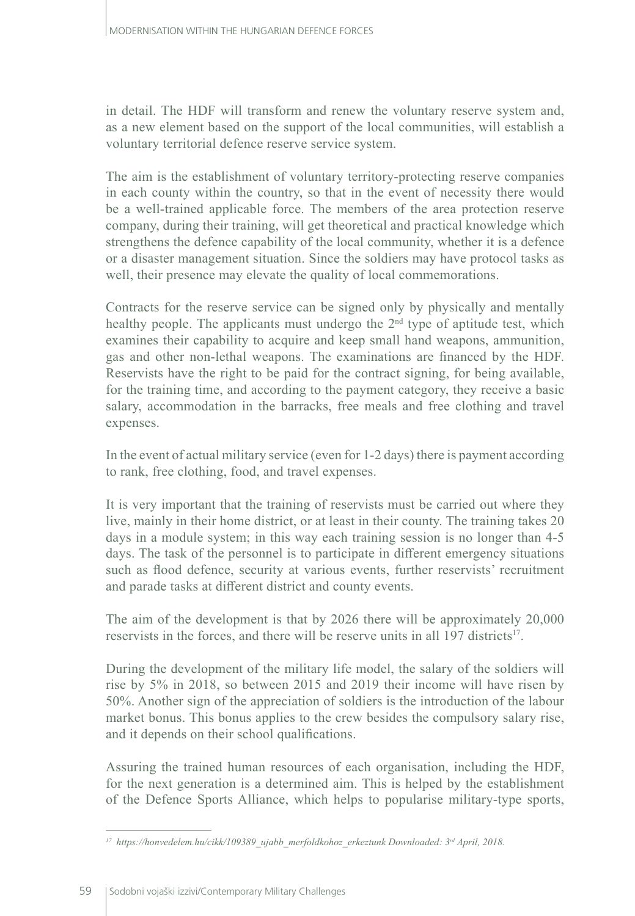in detail. The HDF will transform and renew the voluntary reserve system and, as a new element based on the support of the local communities, will establish a voluntary territorial defence reserve service system.

The aim is the establishment of voluntary territory-protecting reserve companies in each county within the country, so that in the event of necessity there would be a well-trained applicable force. The members of the area protection reserve company, during their training, will get theoretical and practical knowledge which strengthens the defence capability of the local community, whether it is a defence or a disaster management situation. Since the soldiers may have protocol tasks as well, their presence may elevate the quality of local commemorations.

Contracts for the reserve service can be signed only by physically and mentally healthy people. The applicants must undergo the  $2<sup>nd</sup>$  type of aptitude test, which examines their capability to acquire and keep small hand weapons, ammunition, gas and other non-lethal weapons. The examinations are financed by the HDF. Reservists have the right to be paid for the contract signing, for being available, for the training time, and according to the payment category, they receive a basic salary, accommodation in the barracks, free meals and free clothing and travel expenses.

In the event of actual military service (even for 1-2 days) there is payment according to rank, free clothing, food, and travel expenses.

It is very important that the training of reservists must be carried out where they live, mainly in their home district, or at least in their county. The training takes 20 days in a module system; in this way each training session is no longer than 4-5 days. The task of the personnel is to participate in different emergency situations such as flood defence, security at various events, further reservists' recruitment and parade tasks at different district and county events.

The aim of the development is that by 2026 there will be approximately 20,000 reservists in the forces, and there will be reserve units in all 197 districts<sup>17</sup>.

During the development of the military life model, the salary of the soldiers will rise by 5% in 2018, so between 2015 and 2019 their income will have risen by 50%. Another sign of the appreciation of soldiers is the introduction of the labour market bonus. This bonus applies to the crew besides the compulsory salary rise, and it depends on their school qualifications.

Assuring the trained human resources of each organisation, including the HDF, for the next generation is a determined aim. This is helped by the establishment of the Defence Sports Alliance, which helps to popularise military-type sports,

*<sup>17</sup> [https://honvedelem.hu/cikk/109389\\_ujabb\\_merfoldkohoz\\_erkeztunk](https://honvedelem.hu/cikk/109389_ujabb_merfoldkohoz_erkeztunk) Downloaded: 3rd April, 2018.*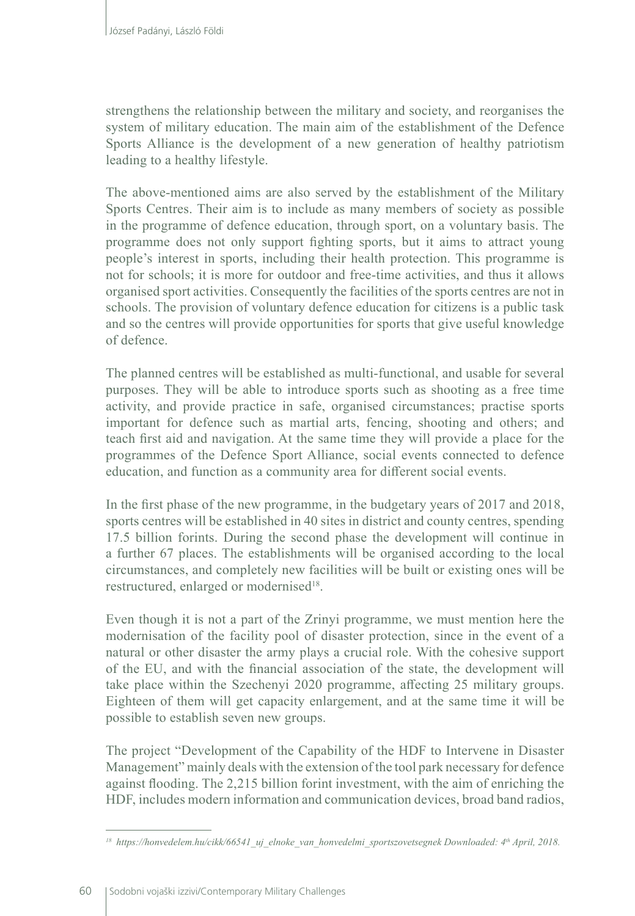strengthens the relationship between the military and society, and reorganises the system of military education. The main aim of the establishment of the Defence Sports Alliance is the development of a new generation of healthy patriotism leading to a healthy lifestyle.

The above-mentioned aims are also served by the establishment of the Military Sports Centres. Their aim is to include as many members of society as possible in the programme of defence education, through sport, on a voluntary basis. The programme does not only support fighting sports, but it aims to attract young people's interest in sports, including their health protection. This programme is not for schools; it is more for outdoor and free-time activities, and thus it allows organised sport activities. Consequently the facilities of the sports centres are not in schools. The provision of voluntary defence education for citizens is a public task and so the centres will provide opportunities for sports that give useful knowledge of defence.

The planned centres will be established as multi-functional, and usable for several purposes. They will be able to introduce sports such as shooting as a free time activity, and provide practice in safe, organised circumstances; practise sports important for defence such as martial arts, fencing, shooting and others; and teach first aid and navigation. At the same time they will provide a place for the programmes of the Defence Sport Alliance, social events connected to defence education, and function as a community area for different social events.

In the first phase of the new programme, in the budgetary years of 2017 and 2018, sports centres will be established in 40 sites in district and county centres, spending 17.5 billion forints. During the second phase the development will continue in a further 67 places. The establishments will be organised according to the local circumstances, and completely new facilities will be built or existing ones will be restructured, enlarged or modernised<sup>18</sup>.

Even though it is not a part of the Zrinyi programme, we must mention here the modernisation of the facility pool of disaster protection, since in the event of a natural or other disaster the army plays a crucial role. With the cohesive support of the EU, and with the financial association of the state, the development will take place within the Szechenyi 2020 programme, affecting 25 military groups. Eighteen of them will get capacity enlargement, and at the same time it will be possible to establish seven new groups.

The project "Development of the Capability of the HDF to Intervene in Disaster Management" mainly deals with the extension of the tool park necessary for defence against flooding. The 2,215 billion forint investment, with the aim of enriching the HDF, includes modern information and communication devices, broad band radios,

*<sup>18</sup> [https://honvedelem.hu/cikk/66541\\_uj\\_elnoke\\_van\\_honvedelmi\\_sportszovetsegnek](https://honvedelem.hu/cikk/66541_uj_elnoke_van_honvedelmi_sportszovetsegnek) Downloaded: 4th April, 2018.*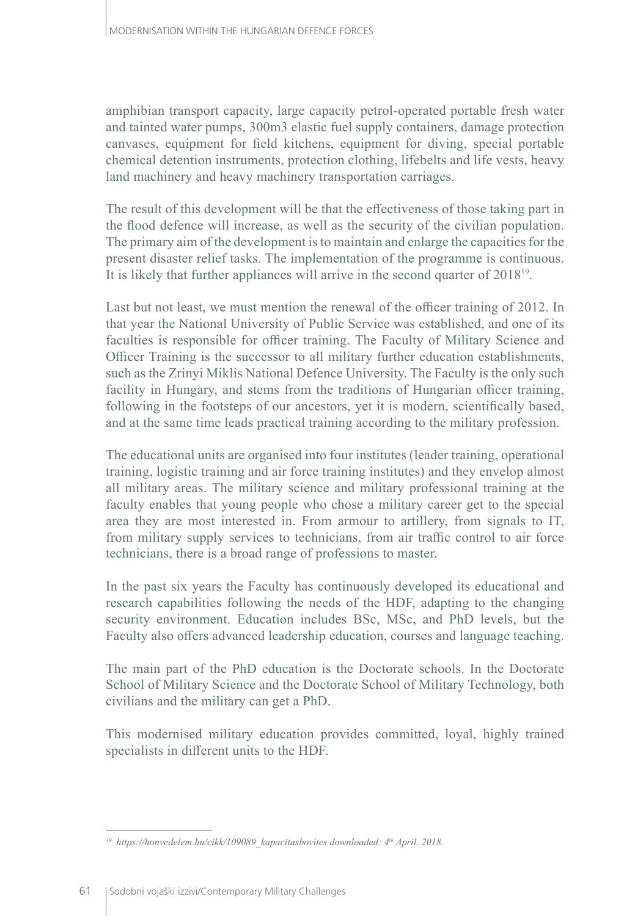amphibian transport capacity, large capacity petrol-operated portable fresh water and tainted water pumps, 300m3 elastic fuel supply containers, damage protection canvases, equipment for field kitchens, equipment for diving, special portable chemical detention instruments, protection clothing, lifebelts and life vests, heavy land machinery and heavy machinery transportation carriages.

The result of this development will be that the effectiveness of those taking part in the flood defence will increase, as well as the security of the civilian population. The primary aim of the development is to maintain and enlarge the capacities for the present disaster relief tasks. The implementation of the programme is continuous. It is likely that further appliances will arrive in the second quarter of 201819.

Last but not least, we must mention the renewal of the officer training of 2012. In that year the National University of Public Service was established, and one of its faculties is responsible for officer training. The Faculty of Military Science and Officer Training is the successor to all military further education establishments, such as the Zrinyi Miklis National Defence University. The Faculty is the only such facility in Hungary, and stems from the traditions of Hungarian officer training, following in the footsteps of our ancestors, yet it is modern, scientifically based, and at the same time leads practical training according to the military profession.

The educational units are organised into four institutes (leader training, operational training, logistic training and air force training institutes) and they envelop almost all military areas. The military science and military professional training at the faculty enables that young people who chose a military career get to the special area they are most interested in. From armour to artillery, from signals to IT, from military supply services to technicians, from air traffic control to air force technicians, there is a broad range of professions to master.

In the past six years the Faculty has continuously developed its educational and research capabilities following the needs of the HDF, adapting to the changing security environment. Education includes BSc, MSc, and PhD levels, but the Faculty also offers advanced leadership education, courses and language teaching.

The main part of the PhD education is the Doctorate schools. In the Doctorate School of Military Science and the Doctorate School of Military Technology, both civilians and the military can get a PhD.

This modernised military education provides committed, loyal, highly trained specialists in different units to the HDF.

*<sup>19</sup> [https://honvedelem.hu/cikk/109089\\_kapacitasbovites](https://honvedelem.hu/cikk/109089_kapacitasbovites) downloaded: 4th April, 2018.*